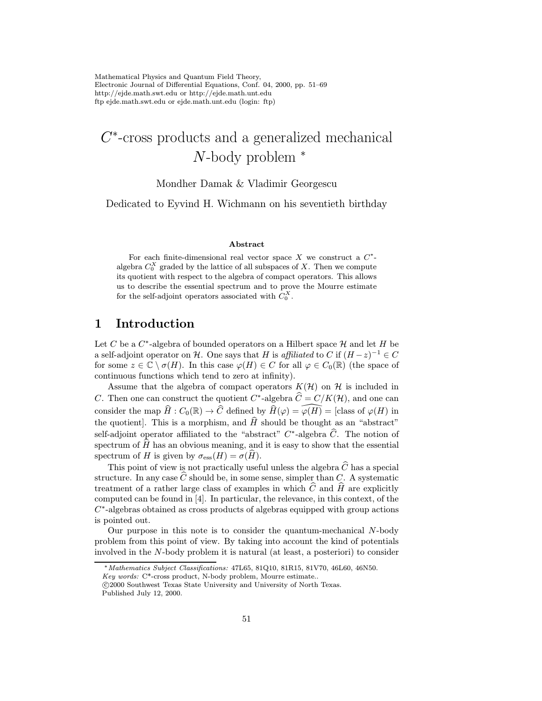Mathematical Physics and Quantum Field Theory, Electronic Journal of Differential Equations, Conf. 04, 2000, pp. 51–69 http://ejde.math.swt.edu or http://ejde.math.unt.edu ftp ejde.math.swt.edu or ejde.math.unt.edu (login: ftp)

# $C^*$ -cross products and a generalized mechanical N-body problem <sup>∗</sup>

#### Mondher Damak & Vladimir Georgescu

Dedicated to Eyvind H. Wichmann on his seventieth birthday

#### Abstract

For each finite-dimensional real vector space  $X$  we construct a  $C^*$ algebra  $C_0^X$  graded by the lattice of all subspaces of X. Then we compute its quotient with respect to the algebra of compact operators. This allows us to describe the essential spectrum and to prove the Mourre estimate for the self-adjoint operators associated with  $C_0^X$ .

# 1 Introduction

Let C be a  $C^*$ -algebra of bounded operators on a Hilbert space  $\mathcal H$  and let H be a self-adjoint operator on H. One says that H is affiliated to C if  $(H-z)^{-1} \in C$ for some  $z \in \mathbb{C} \setminus \sigma(H)$ . In this case  $\varphi(H) \in C$  for all  $\varphi \in C_0(\mathbb{R})$  (the space of continuous functions which tend to zero at infinity).

Assume that the algebra of compact operators  $K(\mathcal{H})$  on  $\mathcal{H}$  is included in C. Then one can construct the quotient  $C^*$ -algebra  $\hat{C} = C/K(\mathcal{H})$ , and one can consider the map  $\widehat{H}: C_0(\mathbb{R}) \to \widehat{C}$  defined by  $\widehat{H}(\varphi) = \widehat{\varphi(H)} =$  [class of  $\varphi(H)$  in the quotient. This is a morphism, and  $\hat{H}$  should be thought as an "abstract" self-adjoint operator affiliated to the "abstract"  $C^*$ -algebra  $\widehat{C}$ . The notion of spectrum of  $\hat{H}$  has an obvious meaning, and it is easy to show that the essential spectrum of H is given by  $\sigma_{\rm ess}(H) = \sigma(H)$ .

This point of view is not practically useful unless the algebra  $\widehat{C}$  has a special structure. In any case  $\widehat{C}$  should be, in some sense, simpler than C. A systematic treatment of a rather large class of examples in which  $C$  and  $H$  are explicitly computed can be found in [4]. In particular, the relevance, in this context, of the  $C^*$ -algebras obtained as cross products of algebras equipped with group actions is pointed out.

Our purpose in this note is to consider the quantum-mechanical  $N$ -body problem from this point of view. By taking into account the kind of potentials involved in the N-body problem it is natural (at least, a posteriori) to consider

<sup>∗</sup>Mathematics Subject Classifications: 47L65, 81Q10, 81R15, 81V70, 46L60, 46N50.

Key words: C\*-cross product, N-body problem, Mourre estimate..

c 2000 Southwest Texas State University and University of North Texas.

Published July 12, 2000.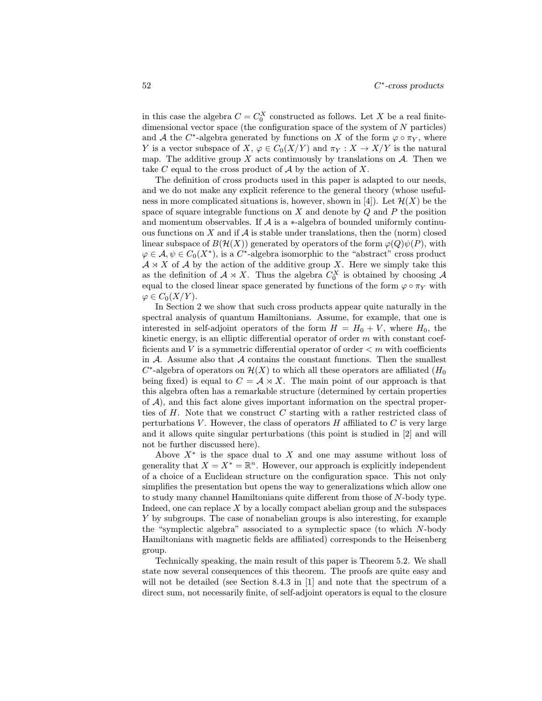in this case the algebra  $C = C_0^X$  constructed as follows. Let X be a real finitedimensional vector space (the configuration space of the system of  $N$  particles) and A the C<sup>\*</sup>-algebra generated by functions on X of the form  $\varphi \circ \pi_Y$ , where Y is a vector subspace of X,  $\varphi \in C_0(X/Y)$  and  $\pi_Y : X \to X/Y$  is the natural map. The additive group X acts continuously by translations on  $A$ . Then we take C equal to the cross product of  $A$  by the action of X.

The definition of cross products used in this paper is adapted to our needs, and we do not make any explicit reference to the general theory (whose usefulness in more complicated situations is, however, shown in [4]). Let  $\mathcal{H}(X)$  be the space of square integrable functions on  $X$  and denote by  $Q$  and  $P$  the position and momentum observables. If  $\mathcal A$  is a  $\ast$ -algebra of bounded uniformly continuous functions on  $X$  and if  $A$  is stable under translations, then the (norm) closed linear subspace of  $B(\mathcal{H}(X))$  generated by operators of the form  $\varphi(Q)\psi(P)$ , with  $\varphi \in \mathcal{A}, \psi \in C_0(X^*)$ , is a C<sup>\*</sup>-algebra isomorphic to the "abstract" cross product  $A \rtimes X$  of A by the action of the additive group X. Here we simply take this as the definition of  $A \rtimes X$ . Thus the algebra  $C_0^X$  is obtained by choosing A equal to the closed linear space generated by functions of the form  $\varphi \circ \pi_Y$  with  $\varphi\in C_0(X/Y).$ 

In Section 2 we show that such cross products appear quite naturally in the spectral analysis of quantum Hamiltonians. Assume, for example, that one is interested in self-adjoint operators of the form  $H = H_0 + V$ , where  $H_0$ , the kinetic energy, is an elliptic differential operator of order  $m$  with constant coefficients and V is a symmetric differential operator of order  $\lt m$  with coefficients in  $A$ . Assume also that  $A$  contains the constant functions. Then the smallest  $C^*$ -algebra of operators on  $\mathcal{H}(X)$  to which all these operators are affiliated  $(H_0)$ being fixed) is equal to  $C = \mathcal{A} \rtimes X$ . The main point of our approach is that this algebra often has a remarkable structure (determined by certain properties of  $A$ ), and this fact alone gives important information on the spectral properties of  $H$ . Note that we construct  $C$  starting with a rather restricted class of perturbations  $V$ . However, the class of operators  $H$  affiliated to  $C$  is very large and it allows quite singular perturbations (this point is studied in [2] and will not be further discussed here).

Above  $X^*$  is the space dual to X and one may assume without loss of generality that  $X = X^* = \mathbb{R}^n$ . However, our approach is explicitly independent of a choice of a Euclidean structure on the configuration space. This not only simplifies the presentation but opens the way to generalizations which allow one to study many channel Hamiltonians quite different from those of N-body type. Indeed, one can replace  $X$  by a locally compact abelian group and the subspaces Y by subgroups. The case of nonabelian groups is also interesting, for example the "symplectic algebra" associated to a symplectic space (to which N-body Hamiltonians with magnetic fields are affiliated) corresponds to the Heisenberg group.

Technically speaking, the main result of this paper is Theorem 5.2. We shall state now several consequences of this theorem. The proofs are quite easy and will not be detailed (see Section 8.4.3 in [1] and note that the spectrum of a direct sum, not necessarily finite, of self-adjoint operators is equal to the closure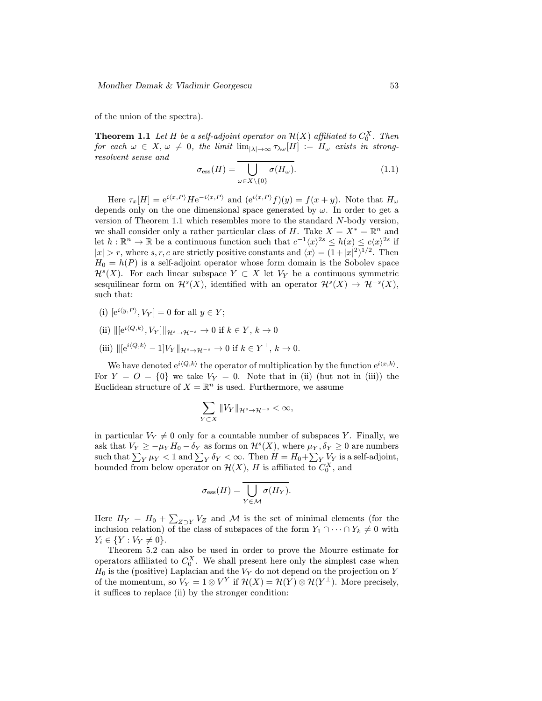of the union of the spectra).

**Theorem 1.1** Let H be a self-adjoint operator on  $\mathcal{H}(X)$  affiliated to  $C_0^X$ . Then for each  $\omega \in X$ ,  $\omega \neq 0$ , the limit  $\lim_{|\lambda| \to \infty} \tau_{\lambda \omega}[H] := H_{\omega}$  exists in strongresolvent sense and

$$
\sigma_{\rm ess}(H) = \overline{\bigcup_{\omega \in X \setminus \{0\}} \sigma(H_\omega)}.
$$
\n(1.1)

Here  $\tau_x[H] = e^{i\langle x,P \rangle}He^{-i\langle x,P \rangle}$  and  $(e^{i\langle x,P \rangle}f)(y) = f(x+y)$ . Note that  $H_{\omega}$ depends only on the one dimensional space generated by  $\omega$ . In order to get a version of Theorem 1.1 which resembles more to the standard N-body version, we shall consider only a rather particular class of H. Take  $X = X^* = \mathbb{R}^n$  and let  $h : \mathbb{R}^n \to \mathbb{R}$  be a continuous function such that  $c^{-1}\langle x \rangle^{2s} \leq h(x) \leq c\langle x \rangle^{2s}$  if  $|x| > r$ , where s, r, c are strictly positive constants and  $\langle x \rangle = (1+|x|^2)^{1/2}$ . Then  $H_0 = h(P)$  is a self-adjoint operator whose form domain is the Sobolev space  $\mathcal{H}^{s}(X)$ . For each linear subspace  $Y \subset X$  let  $V_{Y}$  be a continuous symmetric sesquilinear form on  $\mathcal{H}^s(X)$ , identified with an operator  $\mathcal{H}^s(X) \to \mathcal{H}^{-s}(X)$ , such that:

- (i)  $[e^{i\langle y,P\rangle}, V_Y] = 0$  for all  $y \in Y$ ;
- (ii)  $\|[e^{i\langle Q,k\rangle}, V_Y]\|_{\mathcal{H}^s\to\mathcal{H}^{-s}} \to 0$  if  $k \in Y, k \to 0$
- (iii)  $\|e^{i\langle Q,k \rangle} 1|V_Y\|_{\mathcal{H}^s \to \mathcal{H}^{-s}} \to 0$  if  $k \in Y^{\perp}, k \to 0$ .

We have denoted  $e^{i\langle Q,k \rangle}$  the operator of multiplication by the function  $e^{i\langle x,k \rangle}$ . For  $Y = 0 = \{0\}$  we take  $V_Y = 0$ . Note that in (ii) (but not in (iii)) the Euclidean structure of  $X = \mathbb{R}^n$  is used. Furthermore, we assume

$$
\sum_{Y\subset X} \|V_Y\|_{\mathcal{H}^s\to\mathcal{H}^{-s}}<\infty,
$$

in particular  $V_Y \neq 0$  only for a countable number of subspaces Y. Finally, we ask that  $V_Y \ge -\mu_Y H_0 - \delta_Y$  as forms on  $\mathcal{H}^s(X)$ , where  $\mu_Y, \delta_Y \ge 0$  are numbers such that  $\sum_{Y} \mu_Y < 1$  and  $\sum_{Y} \delta_Y < \infty$ . Then  $H = H_0 + \sum_{Y} V_Y$  is a self-adjoint, bounded from below operator on  $\mathcal{H}(X)$ , H is affiliated to  $C_0^X$ , and

$$
\sigma_{\rm ess}(H) = \overline{\bigcup_{Y \in \mathcal{M}} \sigma(H_Y)}.
$$

Here  $H_Y = H_0 + \sum_{Z \supset Y} V_Z$  and M is the set of minimal elements (for the inclusion relation) of the class of subspaces of the form  $Y_1 \cap \cdots \cap Y_k \neq 0$  with  $Y_i \in \{Y : V_Y \neq 0\}.$ 

Theorem 5.2 can also be used in order to prove the Mourre estimate for operators affiliated to  $C_0^X$ . We shall present here only the simplest case when  $H_0$  is the (positive) Laplacian and the  $V_Y$  do not depend on the projection on Y of the momentum, so  $V_Y = 1 \otimes V^Y$  if  $\mathcal{H}(X) = \mathcal{H}(Y) \otimes \mathcal{H}(Y^{\perp})$ . More precisely, it suffices to replace (ii) by the stronger condition: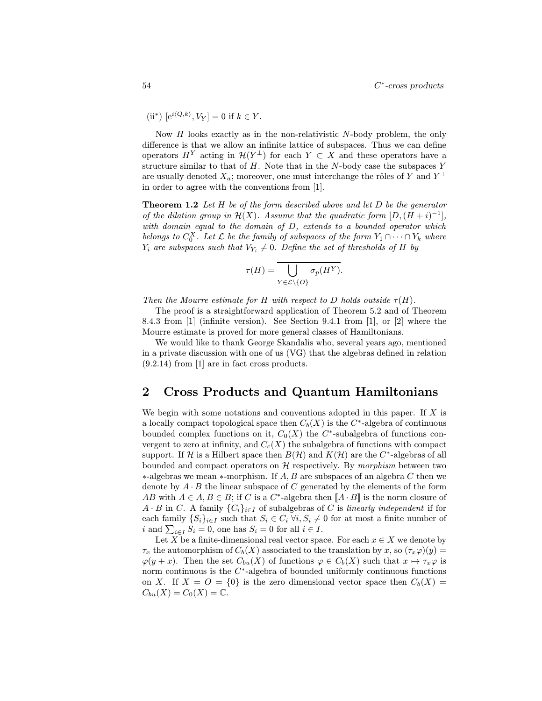(ii<sup>\*</sup>) 
$$
[e^{i\langle Q,k\rangle}, V_Y] = 0
$$
 if  $k \in Y$ .

Now  $H$  looks exactly as in the non-relativistic N-body problem, the only difference is that we allow an infinite lattice of subspaces. Thus we can define operators  $H^Y$  acting in  $\mathcal{H}(Y^{\perp})$  for each  $Y \subset X$  and these operators have a structure similar to that of  $H$ . Note that in the N-body case the subspaces Y are usually denoted  $X_a$ ; moreover, one must interchange the rôles of Y and  $Y^{\perp}$ in order to agree with the conventions from [1].

**Theorem 1.2** Let  $H$  be of the form described above and let  $D$  be the generator of the dilation group in  $\mathcal{H}(X)$ . Assume that the quadratic form  $[D,(H+i)^{-1}]$ , with domain equal to the domain of D, extends to a bounded operator which belongs to  $C_0^X$ . Let  $\mathcal L$  be the family of subspaces of the form  $Y_1 \cap \cdots \cap Y_k$  where  $Y_i$  are subspaces such that  $V_{Y_i} \neq 0$ . Define the set of thresholds of H by

$$
\tau(H) = \overline{\bigcup_{Y \in \mathcal{L} \backslash \{O\}} \sigma_p(H^Y)}.
$$

Then the Mourre estimate for H with respect to D holds outside  $\tau(H)$ .

The proof is a straightforward application of Theorem 5.2 and of Theorem 8.4.3 from [1] (infinite version). See Section 9.4.1 from [1], or [2] where the Mourre estimate is proved for more general classes of Hamiltonians.

We would like to thank George Skandalis who, several years ago, mentioned in a private discussion with one of us (VG) that the algebras defined in relation (9.2.14) from [1] are in fact cross products.

## 2 Cross Products and Quantum Hamiltonians

We begin with some notations and conventions adopted in this paper. If  $X$  is a locally compact topological space then  $C_b(X)$  is the C<sup>\*</sup>-algebra of continuous bounded complex functions on it,  $C_0(X)$  the C<sup>\*</sup>-subalgebra of functions convergent to zero at infinity, and  $C_c(X)$  the subalgebra of functions with compact support. If H is a Hilbert space then  $B(H)$  and  $K(H)$  are the C<sup>\*</sup>-algebras of all bounded and compact operators on  $H$  respectively. By morphism between two  $*$ -algebras we mean  $*$ -morphism. If  $A, B$  are subspaces of an algebra C then we denote by  $A \cdot B$  the linear subspace of C generated by the elements of the form AB with  $A \in A, B \in B$ ; if C is a C<sup>\*</sup>-algebra then  $[A \cdot B]$  is the norm closure of  $A \cdot B$  in C. A family  $\{C_i\}_{i \in I}$  of subalgebras of C is linearly independent if for each family  $\{S_i\}_{i\in I}$  such that  $S_i \in C_i \,\forall i, S_i \neq 0$  for at most a finite number of i and  $\sum_{i \in I} S_i = 0$ , one has  $S_i = 0$  for all  $i \in I$ .

Let X be a finite-dimensional real vector space. For each  $x \in X$  we denote by  $\tau_x$  the automorphism of  $C_b(X)$  associated to the translation by x, so  $(\tau_x \varphi)(y) =$  $\varphi(y+x)$ . Then the set  $C_{bu}(X)$  of functions  $\varphi \in C_b(X)$  such that  $x \mapsto \tau_x \varphi$  is norm continuous is the  $C^*$ -algebra of bounded uniformly continuous functions on X. If  $X = O = \{0\}$  is the zero dimensional vector space then  $C_b(X) =$  $C_{bu}(X) = C_0(X) = \mathbb{C}.$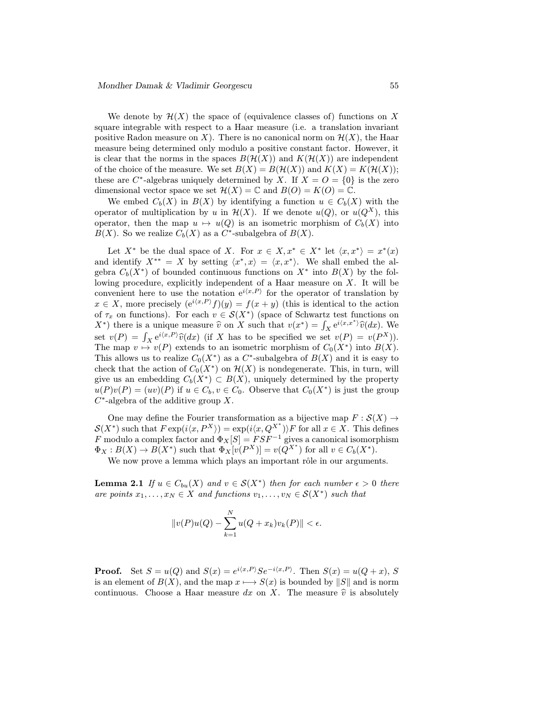We denote by  $\mathcal{H}(X)$  the space of (equivalence classes of) functions on X square integrable with respect to a Haar measure (i.e. a translation invariant positive Radon measure on X). There is no canonical norm on  $\mathcal{H}(X)$ , the Haar measure being determined only modulo a positive constant factor. However, it is clear that the norms in the spaces  $B(\mathcal{H}(X))$  and  $K(\mathcal{H}(X))$  are independent of the choice of the measure. We set  $B(X) = B(\mathcal{H}(X))$  and  $K(X) = K(\mathcal{H}(X));$ these are  $C^*$ -algebras uniquely determined by X. If  $X = O = \{0\}$  is the zero dimensional vector space we set  $\mathcal{H}(X) = \mathbb{C}$  and  $B(O) = K(O) = \mathbb{C}$ .

We embed  $C_b(X)$  in  $B(X)$  by identifying a function  $u \in C_b(X)$  with the operator of multiplication by u in  $\mathcal{H}(X)$ . If we denote  $u(Q)$ , or  $u(Q^X)$ , this operator, then the map  $u \mapsto u(Q)$  is an isometric morphism of  $C_b(X)$  into  $B(X)$ . So we realize  $C_b(X)$  as a C<sup>\*</sup>-subalgebra of  $B(X)$ .

Let  $X^*$  be the dual space of X. For  $x \in X, x^* \in X^*$  let  $\langle x, x^* \rangle = x^*(x)$ and identify  $X^{**} = X$  by setting  $\langle x^*, x \rangle = \langle x, x^* \rangle$ . We shall embed the algebra  $C_b(X^*)$  of bounded continuous functions on  $X^*$  into  $B(X)$  by the following procedure, explicitly independent of a Haar measure on  $X$ . It will be convenient here to use the notation  $e^{i\langle x,P\rangle}$  for the operator of translation by  $x \in X$ , more precisely  $(e^{i\langle x,P\rangle}f)(y) = f(x+y)$  (this is identical to the action of  $\tau_x$  on functions). For each  $v \in \mathcal{S}(X^*)$  (space of Schwartz test functions on  $(X^*)$  there is a unique measure  $\hat{v}$  on X such that  $v(x^*) = \int_X e^{i(x,x^*)} \hat{v}(dx)$ . We set  $v(P) = \int_X e^{i\langle x, P \rangle} \widehat{v}(dx)$  (if X has to be specified we set  $v(P) = v(P^X)$ ). The map  $v \mapsto v(P)$  extends to an isometric morphism of  $C_0(X^*)$  into  $B(X)$ . This allows us to realize  $C_0(X^*)$  as a  $C^*$ -subalgebra of  $B(X)$  and it is easy to check that the action of  $C_0(X^*)$  on  $\mathcal{H}(X)$  is nondegenerate. This, in turn, will give us an embedding  $C_b(X^*) \subset B(X)$ , uniquely determined by the property  $u(P)v(P)=(uv)(P)$  if  $u \in C_b, v \in C_0$ . Observe that  $C_0(X^*)$  is just the group  $C^*$ -algebra of the additive group X.

One may define the Fourier transformation as a bijective map  $F : \mathcal{S}(X) \to$  $\mathcal{S}(X^*)$  such that  $F \exp(i\langle x, P^X \rangle) = \exp(i\langle x, Q^{X^*} \rangle) F$  for all  $x \in X$ . This defines F modulo a complex factor and  $\Phi_X[S] = FSF^{-1}$  gives a canonical isomorphism  $\Phi_X : B(X) \to B(X^*)$  such that  $\Phi_X[v(P^X)] = v(Q^{X^*})$  for all  $v \in C_b(X^*)$ .

We now prove a lemma which plays an important rôle in our arguments.

**Lemma 2.1** If  $u \in C_{bu}(X)$  and  $v \in S(X^*)$  then for each number  $\epsilon > 0$  there are points  $x_1, \ldots, x_N \in X$  and functions  $v_1, \ldots, v_N \in \mathcal{S}(X^*)$  such that

$$
||v(P)u(Q) - \sum_{k=1}^{N} u(Q+x_k)v_k(P)|| < \epsilon.
$$

**Proof.** Set  $S = u(Q)$  and  $S(x) = e^{i\langle x, P \rangle} S e^{-i\langle x, P \rangle}$ . Then  $S(x) = u(Q + x)$ , S is an element of  $B(X)$ , and the map  $x \mapsto S(x)$  is bounded by  $||S||$  and is norm continuous. Choose a Haar measure dx on X. The measure  $\hat{v}$  is absolutely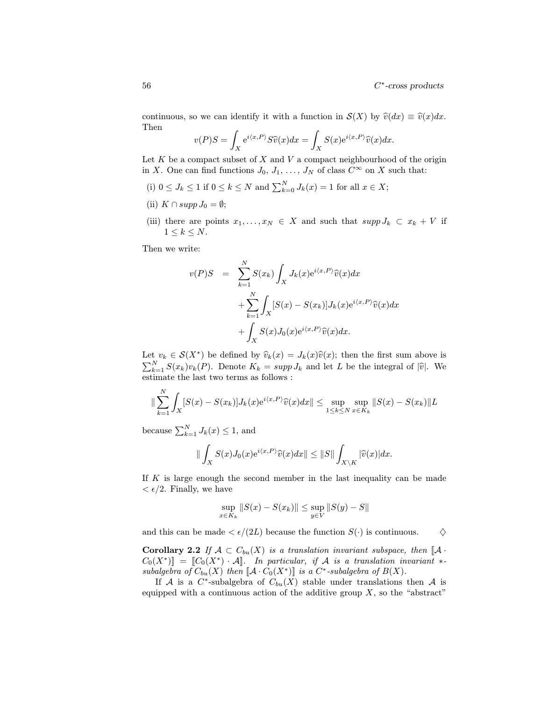continuous, so we can identify it with a function in  $\mathcal{S}(X)$  by  $\hat{v}(dx) \equiv \hat{v}(x)dx$ . Then

$$
v(P)S = \int_X e^{i\langle x, P \rangle} S\widehat{v}(x) dx = \int_X S(x)e^{i\langle x, P \rangle} \widehat{v}(x) dx.
$$

Let  $K$  be a compact subset of  $X$  and  $V$  a compact neighbourhood of the origin in X. One can find functions  $J_0, J_1, \ldots, J_N$  of class  $C^{\infty}$  on X such that:

- (i)  $0 \leq J_k \leq 1$  if  $0 \leq k \leq N$  and  $\sum_{k=0}^{N} J_k(x) = 1$  for all  $x \in X$ ;
- (ii)  $K \cap supp J_0 = \emptyset;$
- (iii) there are points  $x_1, \ldots, x_N \in X$  and such that  $supp J_k \subset x_k + V$  if  $1 \leq k \leq N$ .

Then we write:

$$
v(P)S = \sum_{k=1}^{N} S(x_k) \int_X J_k(x) e^{i\langle x, P \rangle} \widehat{v}(x) dx
$$
  
+ 
$$
\sum_{k=1}^{N} \int_X [S(x) - S(x_k)] J_k(x) e^{i\langle x, P \rangle} \widehat{v}(x) dx
$$
  
+ 
$$
\int_X S(x) J_0(x) e^{i\langle x, P \rangle} \widehat{v}(x) dx.
$$

Let  $v_k \in \mathcal{S}(X^*)$  be defined by  $\widehat{v}_k(x) = J_k(x)\widehat{v}(x)$ ; then the first sum above is  $\sum_{k=1}^{N} S(x_k)v_k(P)$ . Denote  $K_k = supp J_k$  and let L be the integral of  $|\hat{v}|$ . We estimate the last two terms as follows :

$$
\|\sum_{k=1}^N \int_X [S(x) - S(x_k)]J_k(x)e^{i\langle x, P \rangle} \widehat{v}(x) dx\| \le \sup_{1 \le k \le N} \sup_{x \in K_k} \|S(x) - S(x_k)\| L
$$

because  $\sum_{k=1}^{N} J_k(x) \leq 1$ , and

$$
\|\int_X S(x)J_0(x)\mathrm{e}^{i\langle x,P\rangle}\widehat{v}(x)dx\|\leq \|S\|\int_{X\backslash K}|\widehat{v}(x)|dx.
$$

If K is large enough the second member in the last inequality can be made  $\epsilon/2$ . Finally, we have

$$
\sup_{x \in K_k} \|S(x) - S(x_k)\| \le \sup_{y \in V} \|S(y) - S\|
$$

and this can be made  $\langle \epsilon/(2L) \rangle$  because the function  $S(\cdot)$  is continuous.  $\Diamond$ 

Corollary 2.2 If  $A \subset C_{bu}(X)$  is a translation invariant subspace, then  $\mathbb{I}A$ .  $C_0(X^*)$ ] =  $[[C_0(X^*) \cdot A]]$ . In particular, if A is a translation invariant \*subalgebra of  $C_{bu}(X)$  then  $\llbracket \mathcal{A} \cdot C_0(X^*) \rrbracket$  is a  $C^*$ -subalgebra of  $B(X)$ .

If A is a C<sup>\*</sup>-subalgebra of  $C_{bu}(X)$  stable under translations then A is equipped with a continuous action of the additive group  $X$ , so the "abstract"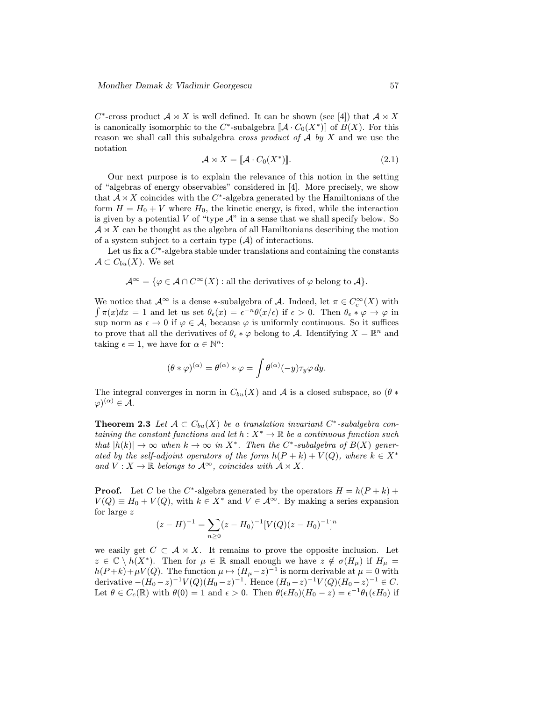C<sup>\*</sup>-cross product  $A \rtimes X$  is well defined. It can be shown (see [4]) that  $A \rtimes X$ is canonically isomorphic to the  $C^*$ -subalgebra  $\llbracket \mathcal{A} \cdot C_0(X^*) \rrbracket$  of  $B(X)$ . For this reason we shall call this subalgebra *cross product of*  $A$  by  $X$  and we use the notation

$$
\mathcal{A} \rtimes X = [\![\mathcal{A} \cdot C_0(X^*)]\!]. \tag{2.1}
$$

Our next purpose is to explain the relevance of this notion in the setting of "algebras of energy observables" considered in [4]. More precisely, we show that  $A \rtimes X$  coincides with the C<sup>∗</sup>-algebra generated by the Hamiltonians of the form  $H = H_0 + V$  where  $H_0$ , the kinetic energy, is fixed, while the interaction is given by a potential  $V$  of "type  $\mathcal{A}$ " in a sense that we shall specify below. So  $A \rtimes X$  can be thought as the algebra of all Hamiltonians describing the motion of a system subject to a certain type  $(A)$  of interactions.

Let us fix a  $C^*$ -algebra stable under translations and containing the constants  $\mathcal{A} \subset C_{bu}(X)$ . We set

$$
\mathcal{A}^{\infty} = \{ \varphi \in \mathcal{A} \cap C^{\infty}(X) : \text{all the derivatives of } \varphi \text{ belong to } \mathcal{A} \}.
$$

We notice that  $\mathcal{A}^{\infty}$  is a dense \*-subalgebra of  $\mathcal{A}$ . Indeed, let  $\pi \in C_c^{\infty}(X)$  with  $\int \pi(x)dx = 1$  and let us set  $\theta_{\epsilon}(x) = \epsilon^{-n}\theta(x/\epsilon)$  if  $\epsilon > 0$ . Then  $\theta_{\epsilon} * \varphi \to \varphi$  in sup norm as  $\epsilon \to 0$  if  $\varphi \in \mathcal{A}$ , because  $\varphi$  is uniformly continuous. So it suffices to prove that all the derivatives of  $\theta_{\epsilon} * \varphi$  belong to A. Identifying  $X = \mathbb{R}^n$  and taking  $\epsilon = 1$ , we have for  $\alpha \in \mathbb{N}^n$ :

$$
(\theta * \varphi)^{(\alpha)} = \theta^{(\alpha)} * \varphi = \int \theta^{(\alpha)}(-y) \tau_y \varphi \, dy.
$$

The integral converges in norm in  $C_{bu}(X)$  and A is a closed subspace, so  $(\theta *$  $(\varphi)^{(\alpha)} \in \mathcal{A}.$ 

**Theorem 2.3** Let  $A \subset C_{bu}(X)$  be a translation invariant  $C^*$ -subalgebra containing the constant functions and let  $h: X^* \to \mathbb{R}$  be a continuous function such that  $|h(k)| \to \infty$  when  $k \to \infty$  in  $X^*$ . Then the C<sup>\*</sup>-subalgebra of  $B(X)$  generated by the self-adjoint operators of the form  $h(P + k) + V(Q)$ , where  $k \in X^*$ and  $V: X \to \mathbb{R}$  belongs to  $\mathcal{A}^{\infty}$ , coincides with  $\mathcal{A} \rtimes X$ .

**Proof.** Let C be the C<sup>\*</sup>-algebra generated by the operators  $H = h(P + k) +$  $V(Q) \equiv H_0 + V(Q)$ , with  $k \in X^*$  and  $V \in \mathcal{A}^{\infty}$ . By making a series expansion for large z

$$
(z - H)^{-1} = \sum_{n \ge 0} (z - H_0)^{-1} [V(Q)(z - H_0)^{-1}]^n
$$

we easily get  $C \subset A \rtimes X$ . It remains to prove the opposite inclusion. Let  $z \in \mathbb{C} \setminus h(X^*)$ . Then for  $\mu \in \mathbb{R}$  small enough we have  $z \notin \sigma(H_\mu)$  if  $H_\mu =$  $h(P+k)+\mu V(Q)$ . The function  $\mu \mapsto (H_{\mu}-z)^{-1}$  is norm derivable at  $\mu=0$  with derivative  $-(H_0-z)^{-1}V(Q)(H_0-z)^{-1}$ . Hence  $(H_0-z)^{-1}V(Q)(H_0-z)^{-1} \in C$ . Let  $\theta \in C_c(\mathbb{R})$  with  $\theta(0) = 1$  and  $\epsilon > 0$ . Then  $\theta(\epsilon H_0)(H_0 - z) = \epsilon^{-1}\theta_1(\epsilon H_0)$  if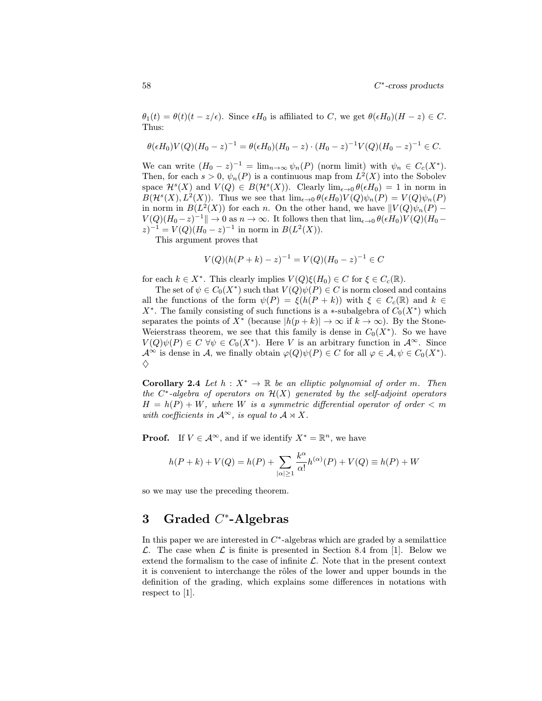$\theta_1(t) = \theta(t)(t - z/\epsilon)$ . Since  $\epsilon H_0$  is affiliated to C, we get  $\theta(\epsilon H_0)(H - z) \in C$ . Thus:

$$
\theta(\epsilon H_0)V(Q)(H_0-z)^{-1} = \theta(\epsilon H_0)(H_0-z) \cdot (H_0-z)^{-1}V(Q)(H_0-z)^{-1} \in C.
$$

We can write  $(H_0 - z)^{-1} = \lim_{n \to \infty} \psi_n(P)$  (norm limit) with  $\psi_n \in C_c(X^*)$ . Then, for each  $s > 0$ ,  $\psi_n(P)$  is a continuous map from  $L^2(X)$  into the Sobolev space  $\mathcal{H}^s(X)$  and  $V(Q) \in B(\mathcal{H}^s(X))$ . Clearly  $\lim_{\epsilon \to 0} \theta(\epsilon H_0) = 1$  in norm in  $B(\mathcal{H}^s(X), L^2(X))$ . Thus we see that  $\lim_{\epsilon \to 0} \theta(\epsilon H_0)V(Q)\psi_n(P) = V(Q)\psi_n(P)$ in norm in  $B(L^2(X))$  for each n. On the other hand, we have  $\|V(Q)\psi_n(P) V(Q)(H_0-z)^{-1}\| \to 0$  as  $n \to \infty$ . It follows then that  $\lim_{\epsilon \to 0} \theta(\epsilon H_0)V(Q)(H_0 (z)^{-1} = V(Q)(H_0 - z)^{-1}$  in norm in  $B(L^2(X))$ .

This argument proves that

$$
V(Q)(h(P+k) - z)^{-1} = V(Q)(H_0 - z)^{-1} \in C
$$

for each  $k \in X^*$ . This clearly implies  $V(Q)\xi(H_0) \in C$  for  $\xi \in C_c(\mathbb{R})$ .

The set of  $\psi \in C_0(X^*)$  such that  $V(Q)\psi(P) \in C$  is norm closed and contains all the functions of the form  $\psi(P) = \xi(h(P + k))$  with  $\xi \in C_c(\mathbb{R})$  and  $k \in$  $X^*$ . The family consisting of such functions is a ∗-subalgebra of  $C_0(X^*)$  which separates the points of  $X^*$  (because  $|h(p+k)| \to \infty$  if  $k \to \infty$ ). By the Stone-Weierstrass theorem, we see that this family is dense in  $C_0(X^*)$ . So we have  $V(Q)\psi(P) \in C \,\forall \psi \in C_0(X^*)$ . Here V is an arbitrary function in  $\mathcal{A}^{\infty}$ . Since  $\mathcal{A}^{\infty}$  is dense in A, we finally obtain  $\varphi(Q)\psi(P) \in C$  for all  $\varphi \in \mathcal{A}, \psi \in C_0(X^*)$ .  $\Diamond$ 

**Corollary 2.4** Let  $h: X^* \to \mathbb{R}$  be an elliptic polynomial of order m. Then the  $C^*$ -algebra of operators on  $\mathcal{H}(X)$  generated by the self-adjoint operators  $H = h(P) + W$ , where W is a symmetric differential operator of order  $\langle m \rangle$ with coefficients in  $\mathcal{A}^{\infty}$ , is equal to  $\mathcal{A} \rtimes X$ .

**Proof.** If  $V \in \mathcal{A}^{\infty}$ , and if we identify  $X^* = \mathbb{R}^n$ , we have

$$
h(P+k) + V(Q) = h(P) + \sum_{|\alpha| \ge 1} \frac{k^{\alpha}}{\alpha!} h^{(\alpha)}(P) + V(Q) \equiv h(P) + W
$$

so we may use the preceding theorem.

# 3 Graded  $C^*$ -Algebras

In this paper we are interested in  $C^*$ -algebras which are graded by a semilattice  $\mathcal{L}$ . The case when  $\mathcal{L}$  is finite is presented in Section 8.4 from [1]. Below we extend the formalism to the case of infinite  $\mathcal{L}$ . Note that in the present context it is convenient to interchange the rôles of the lower and upper bounds in the definition of the grading, which explains some differences in notations with respect to [1].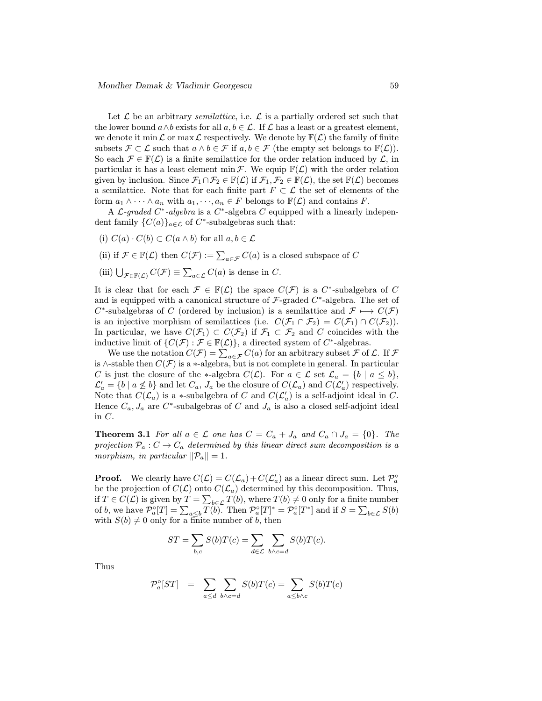Let  $\mathcal L$  be an arbitrary *semilattice*, i.e.  $\mathcal L$  is a partially ordered set such that the lower bound  $a \wedge b$  exists for all  $a, b \in \mathcal{L}$ . If  $\mathcal L$  has a least or a greatest element, we denote it min  $\mathcal L$  or max  $\mathcal L$  respectively. We denote by  $\mathbb F(\mathcal L)$  the family of finite subsets  $\mathcal{F} \subset \mathcal{L}$  such that  $a \wedge b \in \mathcal{F}$  if  $a, b \in \mathcal{F}$  (the empty set belongs to  $\mathbb{F}(\mathcal{L})$ ). So each  $\mathcal{F} \in \mathbb{F}(\mathcal{L})$  is a finite semilattice for the order relation induced by  $\mathcal{L}$ , in particular it has a least element min  $\mathcal F$ . We equip  $\mathbb F(\mathcal L)$  with the order relation given by inclusion. Since  $\mathcal{F}_1 \cap \mathcal{F}_2 \in \mathbb{F}(\mathcal{L})$  if  $\mathcal{F}_1, \mathcal{F}_2 \in \mathbb{F}(\mathcal{L})$ , the set  $\mathbb{F}(\mathcal{L})$  becomes a semilattice. Note that for each finite part  $F \subset \mathcal{L}$  the set of elements of the form  $a_1 \wedge \cdots \wedge a_n$  with  $a_1, \cdots, a_n \in F$  belongs to  $\mathbb{F}(\mathcal{L})$  and contains F.

A L-graded  $C^*$ -algebra is a  $C^*$ -algebra C equipped with a linearly independent family  $\{C(a)\}_{a\in\mathcal{L}}$  of  $C^*$ -subalgebras such that:

- (i)  $C(a) \cdot C(b) \subset C(a \wedge b)$  for all  $a, b \in \mathcal{L}$
- (ii) if  $\mathcal{F} \in \mathbb{F}(\mathcal{L})$  then  $C(\mathcal{F}) := \sum_{a \in \mathcal{F}} C(a)$  is a closed subspace of  $C$
- (iii)  $\bigcup_{\mathcal{F}\in\mathbb{F}(\mathcal{L})} C(\mathcal{F}) \equiv \sum_{a\in\mathcal{L}} C(a)$  is dense in C.

It is clear that for each  $\mathcal{F} \in \mathbb{F}(\mathcal{L})$  the space  $C(\mathcal{F})$  is a  $C^*$ -subalgebra of C and is equipped with a canonical structure of  $\mathcal{F}\text{-graded } C^*\text{-algebra.}$  The set of  $C^*$ -subalgebras of C (ordered by inclusion) is a semilattice and  $\mathcal{F} \longmapsto C(\mathcal{F})$ is an injective morphism of semilattices (i.e.  $C(\mathcal{F}_1 \cap \mathcal{F}_2) = C(\mathcal{F}_1) \cap C(\mathcal{F}_2)$ ). In particular, we have  $C(\mathcal{F}_1) \subset C(\mathcal{F}_2)$  if  $\mathcal{F}_1 \subset \mathcal{F}_2$  and C coincides with the inductive limit of  $\{C(\mathcal{F}) : \mathcal{F} \in \mathbb{F}(\mathcal{L})\}$ , a directed system of  $C^*$ -algebras.

We use the notation  $C(\mathcal{F}) = \sum_{a \in \mathcal{F}} C(a)$  for an arbitrary subset  $\mathcal{F}$  of  $\mathcal{L}$ . If  $\mathcal{F}$ is ∧-stable then  $C(\mathcal{F})$  is a \*-algebra, but is not complete in general. In particular C is just the closure of the ∗-algebra  $C(\mathcal{L})$ . For  $a \in \mathcal{L}$  set  $\mathcal{L}_a = \{b \mid a \leq b\},\$  $\mathcal{L}'_a = \{b \mid a \nleq b\}$  and let  $C_a$ ,  $J_a$  be the closure of  $C(\mathcal{L}_a)$  and  $C(\mathcal{L}'_a)$  respectively. Note that  $C(\mathcal{L}_a)$  is a \*-subalgebra of C and  $C(\mathcal{L}'_a)$  is a self-adjoint ideal in C. Hence  $C_a$ ,  $J_a$  are  $C^*$ -subalgebras of C and  $J_a$  is also a closed self-adjoint ideal in C.

**Theorem 3.1** For all  $a \in \mathcal{L}$  one has  $C = C_a + J_a$  and  $C_a \cap J_a = \{0\}$ . The projection  $\mathcal{P}_a: C \to C_a$  determined by this linear direct sum decomposition is a morphism, in particular  $\|\mathcal{P}_a\| = 1$ .

**Proof.** We clearly have  $C(\mathcal{L}) = C(\mathcal{L}_a) + C(\mathcal{L}'_a)$  as a linear direct sum. Let  $\mathcal{P}_a^{\circ}$ be the projection of  $C(\mathcal{L})$  onto  $C(\mathcal{L}_a)$  determined by this decomposition. Thus, if  $T \in C(\mathcal{L})$  is given by  $T = \sum_{b \in \mathcal{L}} T(b)$ , where  $T(b) \neq 0$  only for a finite number of b, we have  $\mathcal{P}_a^{\circ}[T] = \sum_{a \le b} \overline{T(b)}$ . Then  $\mathcal{P}_a^{\circ}[T]^* = \mathcal{P}_a^{\circ}[T^*]$  and if  $S = \sum_{b \in \mathcal{L}} S(b)$ with  $S(b) \neq 0$  only for a finite number of b, then

$$
ST = \sum_{b,c} S(b)T(c) = \sum_{d \in \mathcal{L}} \sum_{b \wedge c = d} S(b)T(c).
$$

Thus

$$
\mathcal{P}_a^{\circ}[ST] = \sum_{a \le d} \sum_{b \wedge c = d} S(b)T(c) = \sum_{a \le b \wedge c} S(b)T(c)
$$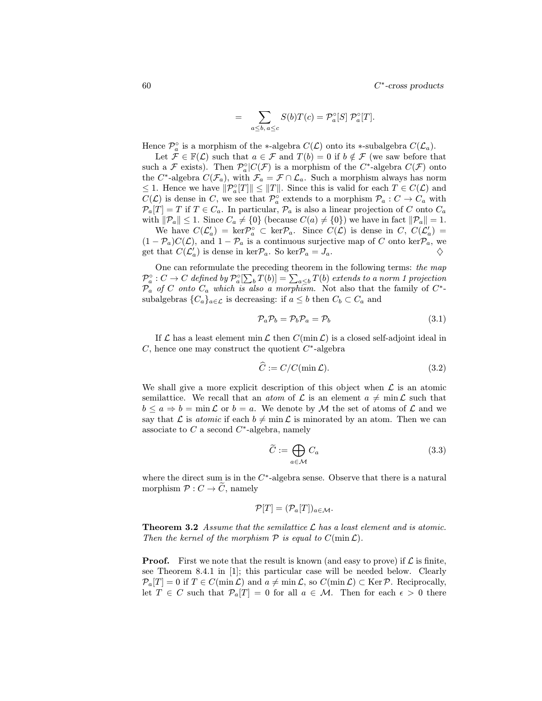$60$  C<sup>∗</sup>-cross products

$$
= \sum_{a \le b, a \le c} S(b)T(c) = \mathcal{P}_a^{\circ}[S] \mathcal{P}_a^{\circ}[T].
$$

Hence  $\mathcal{P}_{a}^{\circ}$  is a morphism of the \*-algebra  $C(\mathcal{L})$  onto its \*-subalgebra  $C(\mathcal{L}_{a})$ .

Let  $\mathcal{F} \in \mathbb{F}(\mathcal{L})$  such that  $a \in \mathcal{F}$  and  $T(b) = 0$  if  $b \notin \mathcal{F}$  (we saw before that such a F exists). Then  $\mathcal{P}_a^{\circ}|C(\mathcal{F})$  is a morphism of the  $C^*$ -algebra  $C(\mathcal{F})$  onto the C<sup>∗</sup>-algebra  $C(\mathcal{F}_a)$ , with  $\mathcal{F}_a = \mathcal{F} \cap \mathcal{L}_a$ . Such a morphism always has norm  $\leq 1$ . Hence we have  $||\mathcal{P}_{a}^{\circ}[T]|| \leq ||T||$ . Since this is valid for each  $T \in C(\mathcal{L})$  and  $C(\mathcal{L})$  is dense in C, we see that  $\mathcal{P}_{a}^{\circ}$  extends to a morphism  $\mathcal{P}_{a}: C \to C_{a}$  with  $\mathcal{P}_a[T] = T$  if  $T \in C_a$ . In particular,  $\mathcal{P}_a$  is also a linear projection of C onto  $C_a$ with  $\|\mathcal{P}_a\| \leq 1$ . Since  $C_a \neq \{0\}$  (because  $C(a) \neq \{0\}$ ) we have in fact  $\|\mathcal{P}_a\| = 1$ . We have  $C(\mathcal{L}'_a) = \ker \mathcal{P}_a^{\circ} \subset \ker \mathcal{P}_a$ . Since  $C(\mathcal{L})$  is dense in C,  $C(\mathcal{L}'_a) =$ 

 $(1 - \mathcal{P}_a)C(\mathcal{L})$ , and  $1 - \mathcal{P}_a$  is a continuous surjective map of C onto ker $\mathcal{P}_a$ , we get that  $C(\mathcal{L}'_a)$  is dense in ker $\mathcal{P}_a$ . So ker $\mathcal{P}_a = J_a$ .

One can reformulate the preceding theorem in the following terms: the map  $\mathcal{P}^\circ_a : C \to C$  defined by  $\mathcal{P}^\circ_a[\sum_b T(b)] = \sum_{a \leq b} T(b)$  extends to a norm 1 projection  $\overline{P}_a$  of C onto  $C_a$  which is also a morphism. Not also that the family of  $C^*$ subalgebras  $\{C_a\}_{a \in \mathcal{L}}$  is decreasing: if  $a \leq b$  then  $C_b \subset C_a$  and

$$
\mathcal{P}_a \mathcal{P}_b = \mathcal{P}_b \mathcal{P}_a = \mathcal{P}_b \tag{3.1}
$$

If  $\mathcal L$  has a least element min  $\mathcal L$  then  $C(\min \mathcal L)$  is a closed self-adjoint ideal in C, hence one may construct the quotient  $C^*$ -algebra

$$
\widehat{C} := C/C(\min \mathcal{L}).\tag{3.2}
$$

We shall give a more explicit description of this object when  $\mathcal L$  is an atomic semilattice. We recall that an *atom* of  $\mathcal L$  is an element  $a \neq \min \mathcal L$  such that  $b \leq a \Rightarrow b = \min \mathcal{L}$  or  $b = a$ . We denote by M the set of atoms of  $\mathcal{L}$  and we say that L is *atomic* if each  $b \neq \min \mathcal{L}$  is minorated by an atom. Then we can associate to  $C$  a second  $C^*$ -algebra, namely

$$
\widetilde{C} := \bigoplus_{a \in \mathcal{M}} C_a \tag{3.3}
$$

where the direct sum is in the  $C^*$ -algebra sense. Observe that there is a natural morphism  $\mathcal{P}: C \to \widetilde{C}$ , namely

$$
\mathcal{P}[T]=(\mathcal{P}_a[T])_{a\in\mathcal{M}}.
$$

**Theorem 3.2** Assume that the semilattice  $\mathcal{L}$  has a least element and is atomic. Then the kernel of the morphism  $P$  is equal to  $C(\min \mathcal{L})$ .

**Proof.** First we note that the result is known (and easy to prove) if  $\mathcal{L}$  is finite, see Theorem 8.4.1 in [1]; this particular case will be needed below. Clearly  $\mathcal{P}_a[T] = 0$  if  $T \in C(\min \mathcal{L})$  and  $a \neq \min \mathcal{L}$ , so  $C(\min \mathcal{L}) \subset \text{Ker } \mathcal{P}$ . Reciprocally, let  $T \in C$  such that  $\mathcal{P}_a[T] = 0$  for all  $a \in \mathcal{M}$ . Then for each  $\epsilon > 0$  there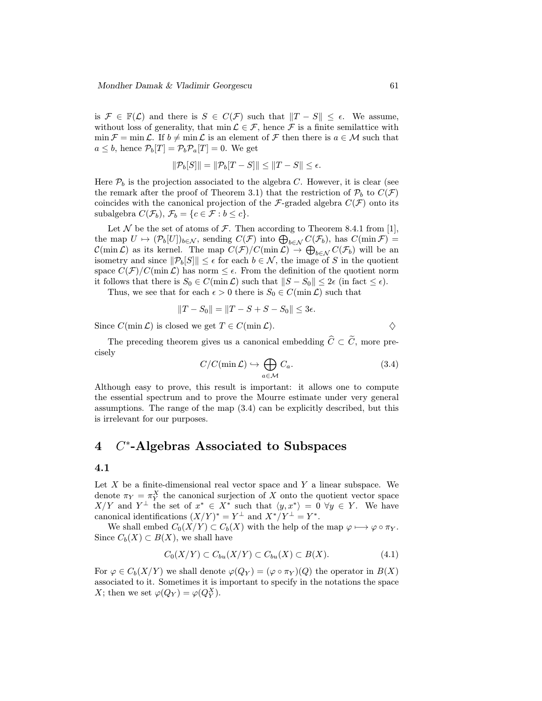is  $\mathcal{F} \in \mathbb{F}(\mathcal{L})$  and there is  $S \in C(\mathcal{F})$  such that  $||T - S|| \leq \epsilon$ . We assume, without loss of generality, that  $\min \mathcal{L} \in \mathcal{F}$ , hence  $\mathcal{F}$  is a finite semilattice with  $\min \mathcal{F} = \min \mathcal{L}$ . If  $b \neq \min \mathcal{L}$  is an element of  $\mathcal{F}$  then there is  $a \in \mathcal{M}$  such that  $a \leq b$ , hence  $\mathcal{P}_b[T] = \mathcal{P}_b \mathcal{P}_a[T] = 0$ . We get

$$
\|\mathcal{P}_b[S]\| = \|\mathcal{P}_b[T-S]\| \le \|T-S\| \le \epsilon.
$$

Here  $P_b$  is the projection associated to the algebra C. However, it is clear (see the remark after the proof of Theorem 3.1) that the restriction of  $P_b$  to  $C(\mathcal{F})$ coincides with the canonical projection of the F-graded algebra  $C(\mathcal{F})$  onto its subalgebra  $C(\mathcal{F}_b)$ ,  $\mathcal{F}_b = \{c \in \mathcal{F} : b \leq c\}.$ 

Let  $\mathcal N$  be the set of atoms of  $\mathcal F$ . Then according to Theorem 8.4.1 from [1], the map  $U \mapsto (\mathcal{P}_b[U])_{b \in \mathcal{N}}$ , sending  $C(\mathcal{F})$  into  $\bigoplus_{b \in \mathcal{N}} C(\mathcal{F}_b)$ , has  $C(\min \mathcal{F})$  $\mathcal{C}(\min \mathcal{L})$  as its kernel. The map  $C(\mathcal{F})/C(\min \mathcal{L}) \to \bigoplus_{b \in \mathcal{N}} C(\mathcal{F}_b)$  will be an isometry and since  $\|\mathcal{P}_b[S]\| \leq \epsilon$  for each  $b \in \mathcal{N}$ , the image of S in the quotient space  $C(\mathcal{F})/C(\min \mathcal{L})$  has norm  $\leq \epsilon$ . From the definition of the quotient norm it follows that there is  $S_0 \in C(\min \mathcal{L})$  such that  $||S - S_0|| \leq 2\epsilon$  (in fact  $\leq \epsilon$ ).

Thus, we see that for each  $\epsilon > 0$  there is  $S_0 \in C(\min \mathcal{L})$  such that

$$
||T - S_0|| = ||T - S + S - S_0|| \le 3\epsilon.
$$

Since  $C(\min \mathcal{L})$  is closed we get  $T \in C(\min \mathcal{L})$ .

The preceding theorem gives us a canonical embedding  $\widehat{C} \subset \widetilde{C}$ , more precisely

$$
C/C(\min \mathcal{L}) \hookrightarrow \bigoplus_{a \in \mathcal{M}} C_a. \tag{3.4}
$$

Although easy to prove, this result is important: it allows one to compute the essential spectrum and to prove the Mourre estimate under very general assumptions. The range of the map (3.4) can be explicitly described, but this is irrelevant for our purposes.

### 4 C<sup>∗</sup>-Algebras Associated to Subspaces

#### 4.1

Let  $X$  be a finite-dimensional real vector space and  $Y$  a linear subspace. We denote  $\pi_Y = \pi_Y^X$  the canonical surjection of X onto the quotient vector space  $X/Y$  and  $Y^{\perp}$  the set of  $x^* \in X^*$  such that  $\langle y, x^* \rangle = 0 \ \forall y \in Y$ . We have canonical identifications  $(X/Y)^* = Y^{\perp}$  and  $X^*/Y^{\perp} = Y^*$ .

We shall embed  $C_0(X/Y) \subset C_b(X)$  with the help of the map  $\varphi \mapsto \varphi \circ \pi_Y$ . Since  $C_b(X) \subset B(X)$ , we shall have

$$
C_0(X/Y) \subset C_{bu}(X/Y) \subset C_{bu}(X) \subset B(X). \tag{4.1}
$$

For  $\varphi \in C_b(X/Y)$  we shall denote  $\varphi(Q_Y) = (\varphi \circ \pi_Y)(Q)$  the operator in  $B(X)$ associated to it. Sometimes it is important to specify in the notations the space X; then we set  $\varphi(Q_Y) = \varphi(Q_Y^X)$ .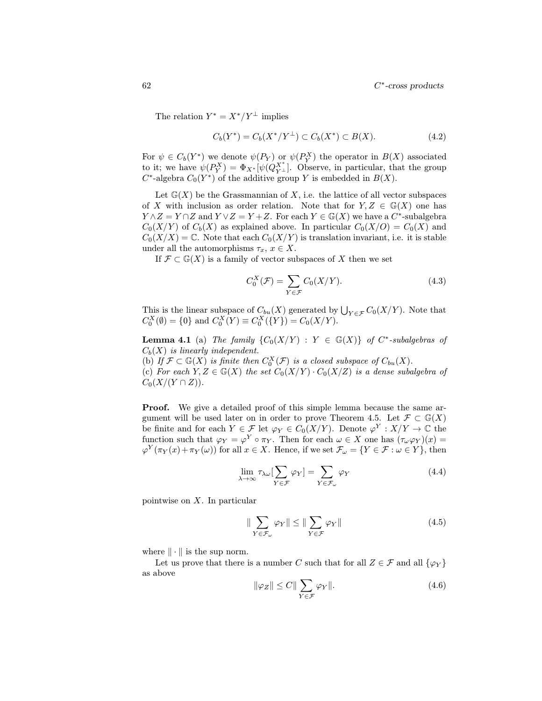The relation  $Y^* = X^*/Y^{\perp}$  implies

$$
C_b(Y^*) = C_b(X^*/Y^{\perp}) \subset C_b(X^*) \subset B(X). \tag{4.2}
$$

For  $\psi \in C_b(Y^*)$  we denote  $\psi(P_Y)$  or  $\psi(P_Y^X)$  the operator in  $B(X)$  associated to it; we have  $\psi(P_Y^X) = \Phi_{X^*}[\psi(Q_{Y^{\perp}}^X].$  Observe, in particular, that the group  $C^*$ -algebra  $C_0(Y^*)$  of the additive group Y is embedded in  $B(X)$ .

Let  $\mathbb{G}(X)$  be the Grassmannian of X, i.e. the lattice of all vector subspaces of X with inclusion as order relation. Note that for  $Y, Z \in \mathbb{G}(X)$  one has  $Y \wedge Z = Y \cap Z$  and  $Y \vee Z = Y + Z$ . For each  $Y \in \mathbb{G}(X)$  we have a  $C^*$ -subalgebra  $C_0(X/Y)$  of  $C_b(X)$  as explained above. In particular  $C_0(X/O) = C_0(X)$  and  $C_0(X/X) = \mathbb{C}$ . Note that each  $C_0(X/Y)$  is translation invariant, i.e. it is stable under all the automorphisms  $\tau_x, x \in X$ .

If  $\mathcal{F} \subset \mathbb{G}(X)$  is a family of vector subspaces of X then we set

$$
C_0^X(\mathcal{F}) = \sum_{Y \in \mathcal{F}} C_0(X/Y). \tag{4.3}
$$

This is the linear subspace of  $C_{bu}(X)$  generated by  $\bigcup_{Y \in \mathcal{F}} C_0(X/Y)$ . Note that  $C_0^X(\emptyset) = \{0\}$  and  $C_0^X(Y) \equiv C_0^X(\{Y\}) = C_0(X/Y)$ .

**Lemma 4.1** (a) The family  $\{C_0(X/Y) : Y \in \mathbb{G}(X)\}\$  of  $C^*$ -subalgebras of  $C_b(X)$  is linearly independent.

(b) If  $\mathcal{F} \subset \mathbb{G}(X)$  is finite then  $C_0^X(\mathcal{F})$  is a closed subspace of  $C_{bu}(X)$ .

(c) For each  $Y, Z \in \mathbb{G}(X)$  the set  $C_0(X/Y) \cdot C_0(X/Z)$  is a dense subalgebra of  $C_0(X/(Y \cap Z)).$ 

**Proof.** We give a detailed proof of this simple lemma because the same argument will be used later on in order to prove Theorem 4.5. Let  $\mathcal{F} \subset \mathbb{G}(X)$ be finite and for each  $Y \in \mathcal{F}$  let  $\varphi_Y \in C_0(X/Y)$ . Denote  $\varphi^Y : X/Y \to \mathbb{C}$  the function such that  $\varphi_Y = \varphi^Y \circ \pi_Y$ . Then for each  $\omega \in X$  one has  $(\tau_\omega \varphi_Y)(x) =$  $\varphi^{Y}(\pi_Y(x)+\pi_Y(\omega))$  for all  $x \in X$ . Hence, if we set  $\mathcal{F}_{\omega} = \{Y \in \mathcal{F} : \omega \in Y\}$ , then

$$
\lim_{\lambda \to \infty} \tau_{\lambda \omega} \left[ \sum_{Y \in \mathcal{F}} \varphi_Y \right] = \sum_{Y \in \mathcal{F}_{\omega}} \varphi_Y \tag{4.4}
$$

pointwise on X. In particular

$$
\|\sum_{Y \in \mathcal{F}_{\omega}} \varphi_Y\| \le \|\sum_{Y \in \mathcal{F}} \varphi_Y\| \tag{4.5}
$$

where  $\|\cdot\|$  is the sup norm.

Let us prove that there is a number C such that for all  $Z \in \mathcal{F}$  and all  $\{\varphi_Y\}$ as above

$$
\|\varphi_Z\| \le C \|\sum_{Y \in \mathcal{F}} \varphi_Y\|.\tag{4.6}
$$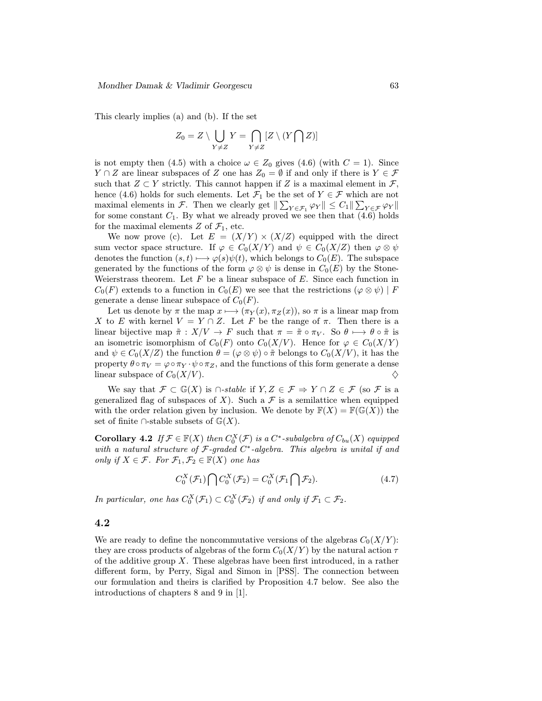This clearly implies (a) and (b). If the set

$$
Z_0 = Z \setminus \bigcup_{Y \neq Z} Y = \bigcap_{Y \neq Z} [Z \setminus (Y \bigcap Z)]
$$

is not empty then (4.5) with a choice  $\omega \in Z_0$  gives (4.6) (with  $C = 1$ ). Since  $Y \cap Z$  are linear subspaces of Z one has  $Z_0 = \emptyset$  if and only if there is  $Y \in \mathcal{F}$ such that  $Z \subset Y$  strictly. This cannot happen if Z is a maximal element in  $\mathcal{F}$ , hence (4.6) holds for such elements. Let  $\mathcal{F}_1$  be the set of  $Y \in \mathcal{F}$  which are not maximal elements in F. Then we clearly get  $\|\sum_{Y \in \mathcal{F}_1} \varphi_Y\| \leq C_1 \|\sum_{Y \in \mathcal{F}} \varphi_Y\|$ for some constant  $C_1$ . By what we already proved we see then that  $(4.6)$  holds for the maximal elements Z of  $\mathcal{F}_1$ , etc.

We now prove (c). Let  $E = (X/Y) \times (X/Z)$  equipped with the direct sum vector space structure. If  $\varphi \in C_0(X/Y)$  and  $\psi \in C_0(X/Z)$  then  $\varphi \otimes \psi$ denotes the function  $(s, t) \mapsto \varphi(s)\psi(t)$ , which belongs to  $C_0(E)$ . The subspace generated by the functions of the form  $\varphi \otimes \psi$  is dense in  $C_0(E)$  by the Stone-Weierstrass theorem. Let  $F$  be a linear subspace of  $E$ . Since each function in  $C_0(F)$  extends to a function in  $C_0(E)$  we see that the restrictions  $(\varphi \otimes \psi) | F$ generate a dense linear subspace of  $C_0(F)$ .

Let us denote by  $\pi$  the map  $x \mapsto (\pi_Y(x), \pi_Z(x))$ , so  $\pi$  is a linear map from X to E with kernel  $V = Y \cap Z$ . Let F be the range of  $\pi$ . Then there is a linear bijective map  $\tilde{\pi}: X/V \to F$  such that  $\pi = \tilde{\pi} \circ \pi_V$ . So  $\theta \mapsto \theta \circ \tilde{\pi}$  is an isometric isomorphism of  $C_0(F)$  onto  $C_0(X/V)$ . Hence for  $\varphi \in C_0(X/Y)$ and  $\psi \in C_0(X/Z)$  the function  $\theta = (\varphi \otimes \psi) \circ \tilde{\pi}$  belongs to  $C_0(X/V)$ , it has the property  $\theta \circ \pi_V = \varphi \circ \pi_Y \cdot \psi \circ \pi_Z$ , and the functions of this form generate a dense linear subspace of  $C_0(X/V)$ .

We say that  $\mathcal{F} \subset \mathbb{G}(X)$  is  $\cap$ -stable if  $Y, Z \in \mathcal{F} \Rightarrow Y \cap Z \in \mathcal{F}$  (so  $\mathcal{F}$  is a generalized flag of subspaces of X). Such a  $\mathcal F$  is a semilattice when equipped with the order relation given by inclusion. We denote by  $\mathbb{F}(X) = \mathbb{F}(\mathbb{G}(X))$  the set of finite ∩-stable subsets of  $\mathbb{G}(X)$ .

**Corollary 4.2** If  $\mathcal{F} \in \mathbb{F}(X)$  then  $C_0^X(\mathcal{F})$  is a  $C^*$ -subalgebra of  $C_{bu}(X)$  equipped with a natural structure of  $\mathcal{F}\text{-graded } C^*$ -algebra. This algebra is unital if and only if  $X \in \mathcal{F}$ . For  $\mathcal{F}_1, \mathcal{F}_2 \in \mathbb{F}(X)$  one has

$$
C_0^X(\mathcal{F}_1) \bigcap C_0^X(\mathcal{F}_2) = C_0^X(\mathcal{F}_1 \bigcap \mathcal{F}_2). \tag{4.7}
$$

In particular, one has  $C_0^X(\mathcal{F}_1) \subset C_0^X(\mathcal{F}_2)$  if and only if  $\mathcal{F}_1 \subset \mathcal{F}_2$ .

#### 4.2

We are ready to define the noncommutative versions of the algebras  $C_0(X/Y)$ : they are cross products of algebras of the form  $C_0(X/Y)$  by the natural action  $\tau$ of the additive group X. These algebras have been first introduced, in a rather different form, by Perry, Sigal and Simon in [PSS]. The connection between our formulation and theirs is clarified by Proposition 4.7 below. See also the introductions of chapters 8 and 9 in [1].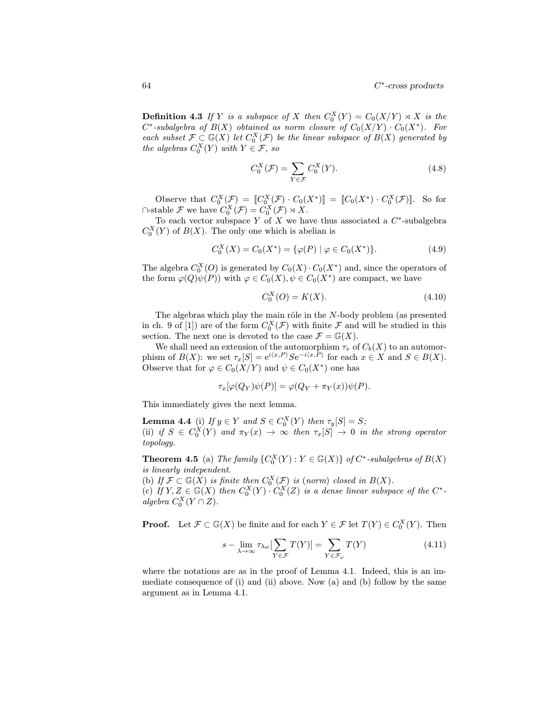**Definition 4.3** If Y is a subspace of X then  $C_0^X(Y) = C_0(X/Y) \rtimes X$  is the  $C^*$ -subalgebra of  $B(X)$  obtained as norm closure of  $C_0(X/Y) \cdot C_0(X^*)$ . For each subset  $\mathcal{F} \subset \mathbb{G}(X)$  let  $C_0^X(\mathcal{F})$  be the linear subspace of  $B(X)$  generated by the algebras  $C_0^X(Y)$  with  $Y \in \mathcal{F}$ , so

$$
C_0^X(\mathcal{F}) = \sum_{Y \in \mathcal{F}} C_0^X(Y). \tag{4.8}
$$

Observe that  $C_0^X(\mathcal{F}) = [C_0^X(\mathcal{F}) \cdot C_0(X^*)] = [C_0(X^*) \cdot C_0^X(\mathcal{F})]$ . So for  $\cap$ -stable  $\mathcal F$  we have  $C_0^X(\mathcal F) = C_0^X(\mathcal F) \rtimes X$ .

To each vector subspace Y of X we have thus associated a  $C^*$ -subalgebra  $C_0^X(Y)$  of  $B(X)$ . The only one which is abelian is

$$
C_0^X(X) = C_0(X^*) = \{ \varphi(P) \mid \varphi \in C_0(X^*) \}.
$$
\n(4.9)

The algebra  $C_0^X(0)$  is generated by  $C_0(X) \cdot C_0(X^*)$  and, since the operators of the form  $\varphi(Q)\psi(P)$ ) with  $\varphi \in C_0(X)$ ,  $\psi \in C_0(X^*)$  are compact, we have

$$
C_0^X(O) = K(X). \tag{4.10}
$$

The algebras which play the main rôle in the  $N$ -body problem (as presented in ch. 9 of [1]) are of the form  $C_0^X(\mathcal{F})$  with finite  $\mathcal F$  and will be studied in this section. The next one is devoted to the case  $\mathcal{F} = \mathbb{G}(X)$ .

We shall need an extension of the automorphism  $\tau_x$  of  $C_b(X)$  to an automorphism of  $B(X)$ : we set  $\tau_x[S]=e^{i\langle x,P\rangle}Se^{-i\langle x,P\rangle}$  for each  $x\in X$  and  $S\in B(X)$ . Observe that for  $\varphi \in C_0(X/Y)$  and  $\psi \in C_0(X^*)$  one has

$$
\tau_x[\varphi(Q_Y)\psi(P)] = \varphi(Q_Y + \pi_Y(x))\psi(P).
$$

This immediately gives the next lemma.

**Lemma 4.4** (i) If  $y \in Y$  and  $S \in C_0^X(Y)$  then  $\tau_y[S] = S$ ; (ii) if  $S \in C_0^X(Y)$  and  $\pi_Y(x) \to \infty$  then  $\tau_x[S] \to 0$  in the strong operator topology.

**Theorem 4.5** (a) The family  ${C_0^X(Y) : Y \in \mathbb{G}(X)}$  of  $C^*$ -subalgebras of  $B(X)$ is linearly independent.

(b) If  $\mathcal{F} \subset \mathbb{G}(X)$  is finite then  $C_0^X(\mathcal{F})$  is (norm) closed in  $B(X)$ .

(c) If  $Y, Z \in \mathbb{G}(X)$  then  $C_0^X(Y) \cdot C_0^X(Z)$  is a dense linear subspace of the  $C^*$  $algebra C_0^X(Y \cap Z)$ .

**Proof.** Let  $\mathcal{F} \subset \mathbb{G}(X)$  be finite and for each  $Y \in \mathcal{F}$  let  $T(Y) \in C_0^X(Y)$ . Then

$$
s - \lim_{\lambda \to \infty} \tau_{\lambda \omega} \left[ \sum_{Y \in \mathcal{F}} T(Y) \right] = \sum_{Y \in \mathcal{F}_{\omega}} T(Y) \tag{4.11}
$$

where the notations are as in the proof of Lemma 4.1. Indeed, this is an immediate consequence of (i) and (ii) above. Now (a) and (b) follow by the same argument as in Lemma 4.1.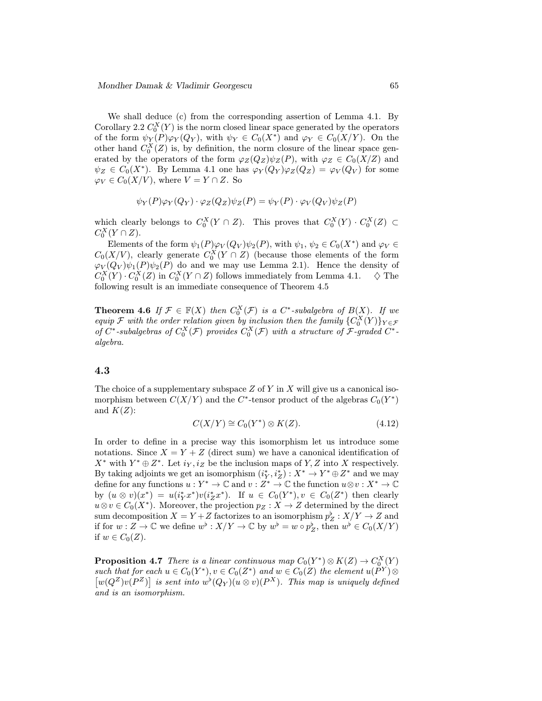We shall deduce (c) from the corresponding assertion of Lemma 4.1. By Corollary 2.2  $C_0^X(Y)$  is the norm closed linear space generated by the operators of the form  $\psi_Y(P)\varphi_Y(Q_Y)$ , with  $\psi_Y \in C_0(X^*)$  and  $\varphi_Y \in C_0(X/Y)$ . On the other hand  $C_0^X(Z)$  is, by definition, the norm closure of the linear space generated by the operators of the form  $\varphi_Z(Q_Z)\psi_Z(P)$ , with  $\varphi_Z \in C_0(X/Z)$  and  $\psi_Z \in C_0(X^*)$ . By Lemma 4.1 one has  $\varphi_Y(Q_Y)\varphi_Z(Q_Z) = \varphi_V(Q_V)$  for some  $\varphi_V \in C_0(X/V)$ , where  $V = Y \cap Z$ . So

$$
\psi_Y(P)\varphi_Y(Q_Y)\cdot\varphi_Z(Q_Z)\psi_Z(P)=\psi_Y(P)\cdot\varphi_V(Q_V)\psi_Z(P)
$$

which clearly belongs to  $C_0^X(Y \cap Z)$ . This proves that  $C_0^X(Y) \cdot C_0^X(Z) \subset$  $C_0^X(Y \cap Z).$ 

Elements of the form  $\psi_1(P)\varphi_V(Q_V)\psi_2(P)$ , with  $\psi_1, \psi_2 \in C_0(X^*)$  and  $\varphi_V \in$  $C_0(X/V)$ , clearly generate  $C_0^X(Y \cap Z)$  (because those elements of the form  $\varphi_V(Q_V) \psi_1(P) \psi_2(P)$  do and we may use Lemma 2.1). Hence the density of  $C_0^X(Y) \cdot C_0^X(Z)$  in  $C_0^X(Y \cap Z)$  follows immediately from Lemma 4.1.  $\Diamond$  The following result is an immediate consequence of Theorem 4.5

**Theorem 4.6** If  $\mathcal{F} \in \mathbb{F}(X)$  then  $C_0^X(\mathcal{F})$  is a  $C^*$ -subalgebra of  $B(X)$ . If we equip F with the order relation given by inclusion then the family  ${C_0^X(Y)}_{Y \in \mathcal{F}}$ of  $C^*$ -subalgebras of  $C_0^X(\mathcal{F})$  provides  $C_0^X(\mathcal{F})$  with a structure of  $\mathcal{F}$ -graded  $C^*$ algebra.

#### 4.3

The choice of a supplementary subspace  $Z$  of  $Y$  in  $X$  will give us a canonical isomorphism between  $C(X/Y)$  and the C<sup>\*</sup>-tensor product of the algebras  $C_0(Y^*)$ and  $K(Z)$ :

$$
C(X/Y) \cong C_0(Y^*) \otimes K(Z). \tag{4.12}
$$

In order to define in a precise way this isomorphism let us introduce some notations. Since  $X = Y + Z$  (direct sum) we have a canonical identification of  $X^*$  with  $Y^* \oplus Z^*$ . Let  $i_Y, i_Z$  be the inclusion maps of Y, Z into X respectively. By taking adjoints we get an isomorphism  $(i_Y^*, i_Z^*)$  :  $X^* \to Y^* \oplus Z^*$  and we may define for any functions  $u : Y^* \to \mathbb{C}$  and  $v : Z^* \to \mathbb{C}$  the function  $u \otimes v : X^* \to \mathbb{C}$ by  $(u \otimes v)(x^*) = u(i_Y^*x^*)v(i_Z^*x^*)$ . If  $u \in C_0(Y^*)$ ,  $v \in C_0(Z^*)$  then clearly  $u \otimes v \in C_0(X^*)$ . Moreover, the projection  $p_Z : X \to Z$  determined by the direct sum decomposition  $X = Y + Z$  factorizes to an isomorphism  $p_Z^{\flat}: X/Y \to Z$  and if for  $w: Z \to \mathbb{C}$  we define  $w^{\flat}: X/Y \to \mathbb{C}$  by  $w^{\flat} = w \circ p_Z^{\flat}$ , then  $w^{\flat} \in C_0(X/Y)$ if  $w \in C_0(Z)$ .

**Proposition 4.7** There is a linear continuous map  $C_0(Y^*) \otimes K(Z) \to C_0^X(Y)$ such that for each  $u \in C_0(Y^*), v \in C_0(Z^*)$  and  $w \in C_0(Z)$  the element  $u(P^Y) \otimes$  $[w(Q^Z)v(P^Z)]$  is sent into  $w^{\flat}(Q_Y)(u \otimes v)(P^X)$ . This map is uniquely defined and is an isomorphism.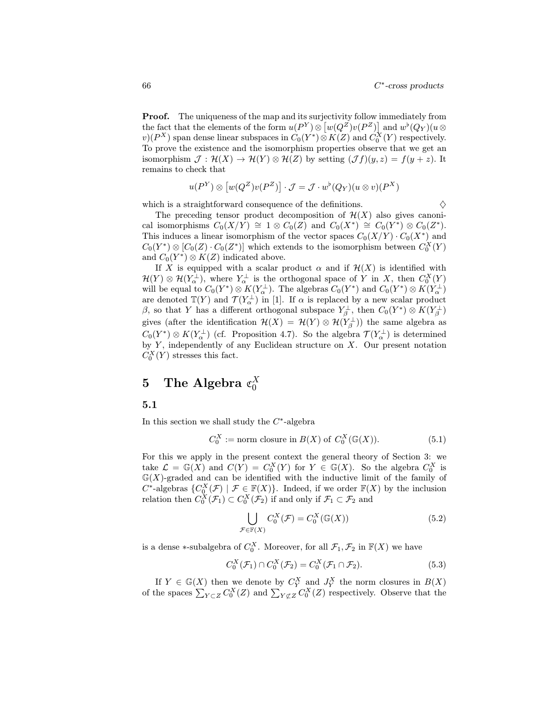Proof. The uniqueness of the map and its surjectivity follow immediately from the fact that the elements of the form  $u(P^Y) \otimes [w(Q^Z)v(P^Z)]$  and  $w^{\flat}(Q_Y)(u \otimes$  $(v)(P^X)$  span dense linear subspaces in  $C_0(Y^*)\otimes K(Z)$  and  $C_0^X(Y)$  respectively. To prove the existence and the isomorphism properties observe that we get an isomorphism  $\mathcal{J} : \mathcal{H}(X) \to \mathcal{H}(Y) \otimes \mathcal{H}(Z)$  by setting  $(\mathcal{J}f)(y, z) = f(y + z)$ . It remains to check that

$$
u(P^Y) \otimes [w(Q^Z)v(P^Z)] \cdot \mathcal{J} = \mathcal{J} \cdot w^{\flat}(Q_Y)(u \otimes v)(P^X)
$$

which is a straightforward consequence of the definitions.  $\Diamond$ 

The preceding tensor product decomposition of  $\mathcal{H}(X)$  also gives canonical isomorphisms  $C_0(X/Y) \cong 1 \otimes C_0(Z)$  and  $C_0(X^*) \cong C_0(Y^*) \otimes C_0(Z^*)$ . This induces a linear isomorphism of the vector spaces  $C_0(X/Y) \cdot C_0(X^*)$  and  $C_0(Y^*)\otimes [C_0(Z)\cdot C_0(Z^*)]$  which extends to the isomorphism between  $C_0^X(Y)$ and  $C_0(Y^*)\otimes K(Z)$  indicated above.

If X is equipped with a scalar product  $\alpha$  and if  $\mathcal{H}(X)$  is identified with  $\mathcal{H}(Y) \otimes \mathcal{H}(Y_\alpha^{\perp}),$  where  $Y_\alpha^{\perp}$  is the orthogonal space of Y in X, then  $C_0^X(Y)$ will be equal to  $C_0(Y^*)\otimes K(Y_\alpha^\perp)$ . The algebras  $C_0(Y^*)$  and  $C_0(Y^*)\otimes K(Y_\alpha^\perp)$ are denoted  $\mathbb{T}(Y)$  and  $\mathcal{T}(Y_\alpha^{\perp})$  in [1]. If  $\alpha$  is replaced by a new scalar product  $\beta$ , so that Y has a different orthogonal subspace  $Y_\beta^\perp$ , then  $C_0(Y^*)\otimes K(Y_\beta^\perp)$ gives (after the identification  $\mathcal{H}(X) = \mathcal{H}(Y) \otimes \mathcal{H}(Y_{\beta}^{\perp})$ ) the same algebra as  $C_0(Y^*)\otimes K(Y_\alpha^{\perp})$  (cf. Proposition 4.7). So the algebra  $\mathcal{T}(Y_\alpha^{\perp})$  is determined by  $Y$ , independently of any Euclidean structure on  $X$ . Our present notation  $\check{C}_0^X(Y)$  stresses this fact.

# 5 The Algebra  $\mathfrak{C}_0^X$

#### 5.1

In this section we shall study the  $C^*$ -algebra

$$
C_0^X := \text{norm closure in } B(X) \text{ of } C_0^X(\mathbb{G}(X)).
$$
 (5.1)

For this we apply in the present context the general theory of Section 3: we take  $\mathcal{L} = \mathbb{G}(X)$  and  $C(Y) = C_0^X(Y)$  for  $Y \in \mathbb{G}(X)$ . So the algebra  $C_0^X$  is  $\mathbb{G}(X)$ -graded and can be identified with the inductive limit of the family of  $C^*$ -algebras  $\{C_{\mathcal{Q}}^X(\mathcal{F}) \mid \mathcal{F} \in \mathbb{F}(X)\}$ . Indeed, if we order  $\mathbb{F}(X)$  by the inclusion relation then  $C_0^X(\mathcal{F}_1) \subset C_0^X(\mathcal{F}_2)$  if and only if  $\mathcal{F}_1 \subset \mathcal{F}_2$  and

$$
\bigcup_{\mathcal{F}\in\mathbb{F}(X)} C_0^X(\mathcal{F}) = C_0^X(\mathbb{G}(X))
$$
\n(5.2)

is a dense ∗-subalgebra of  $C_0^X$ . Moreover, for all  $\mathcal{F}_1, \mathcal{F}_2$  in  $\mathbb{F}(X)$  we have

$$
C_0^X(\mathcal{F}_1) \cap C_0^X(\mathcal{F}_2) = C_0^X(\mathcal{F}_1 \cap \mathcal{F}_2).
$$
\n
$$
(5.3)
$$

If  $Y \in \mathbb{G}(X)$  then we denote by  $C_Y^X$  and  $J_Y^X$  the norm closures in  $B(X)$ of the spaces  $\sum_{Y \subset Z} C_0^X(Z)$  and  $\sum_{Y \not\subset Z} C_0^X(Z)$  respectively. Observe that the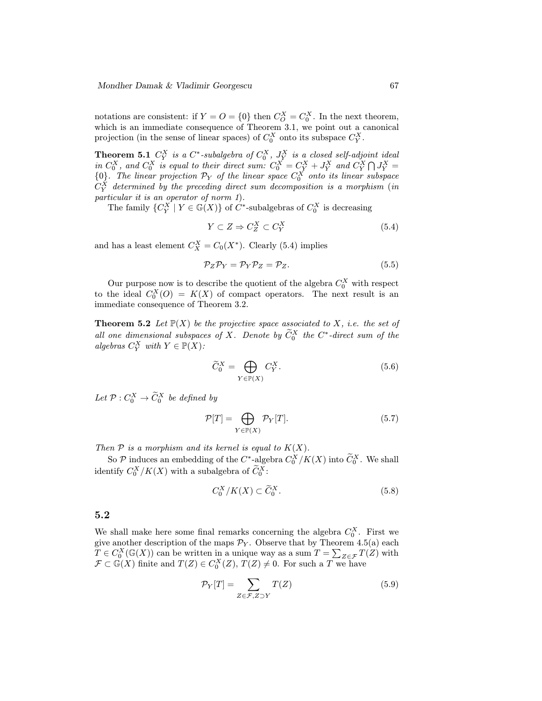notations are consistent: if  $Y = O = \{0\}$  then  $C_O^X = C_0^X$ . In the next theorem, which is an immediate consequence of Theorem 3.1, we point out a canonical projection (in the sense of linear spaces) of  $C_0^X$  onto its subspace  $C_Y^X$ .

**Theorem 5.1**  $C_Y^X$  is a  $C^*$ -subalgebra of  $C_0^X$ ,  $J_Y^X$  is a closed self-adjoint ideal in  $C_0^X$ , and  $C_0^X$  is equal to their direct sum:  $C_0^X = C_Y^X + J_Y^X$  and  $C_Y^X \bigcap J_Y^X =$  ${0}$ . The linear projection  $P_Y$  of the linear space  $C_0^X$  onto its linear subspace  $C_Y^X$  determined by the preceding direct sum decomposition is a morphism (in particular it is an operator of norm 1).

The family  ${C_Y^X \mid Y \in \mathbb{G}(X)}$  of  $C^*$ -subalgebras of  $C_0^X$  is decreasing

$$
Y \subset Z \Rightarrow C_Z^X \subset C_Y^X \tag{5.4}
$$

and has a least element  $C_X^X = C_0(X^*)$ . Clearly (5.4) implies

$$
\mathcal{P}_Z \mathcal{P}_Y = \mathcal{P}_Y \mathcal{P}_Z = \mathcal{P}_Z. \tag{5.5}
$$

Our purpose now is to describe the quotient of the algebra  $C_0^X$  with respect to the ideal  $C_0^X(0) = K(X)$  of compact operators. The next result is an immediate consequence of Theorem 3.2.

**Theorem 5.2** Let  $\mathbb{P}(X)$  be the projective space associated to X, i.e. the set of all one dimensional subspaces of X. Denote by  $\widetilde{C}_0^X$  the  $C^*$ -direct sum of the algebras  $C_Y^X$  with  $Y \in \mathbb{P}(X)$ :

$$
\widetilde{C}_0^X = \bigoplus_{Y \in \mathbb{P}(X)} C_Y^X. \tag{5.6}
$$

Let  $\mathcal{P}: C_0^X \to \widetilde{C}_0^X$  be defined by

$$
\mathcal{P}[T] = \bigoplus_{Y \in \mathbb{P}(X)} \mathcal{P}_Y[T]. \tag{5.7}
$$

Then  $P$  is a morphism and its kernel is equal to  $K(X)$ .

So P induces an embedding of the  $C^*$ -algebra  $C_0^X/K(X)$  into  $\widetilde{C}_0^X$ . We shall identify  $C_0^X/K(X)$  with a subalgebra of  $\widetilde{C}_0^X$ :

$$
C_0^X/K(X) \subset \widetilde{C}_0^X. \tag{5.8}
$$

#### 5.2

We shall make here some final remarks concerning the algebra  $C_0^X$ . First we give another description of the maps  $\mathcal{P}_Y$ . Observe that by Theorem 4.5(a) each  $T \in C_0^X(\mathbb{G}(X))$  can be written in a unique way as a sum  $T = \sum_{Z \in \mathcal{F}} T(Z)$  with  $\mathcal{F} \subset \mathbb{G}(X)$  finite and  $T(Z) \in C_0^X(Z)$ ,  $T(Z) \neq 0$ . For such a T we have

$$
\mathcal{P}_Y[T] = \sum_{Z \in \mathcal{F}, Z \supset Y} T(Z) \tag{5.9}
$$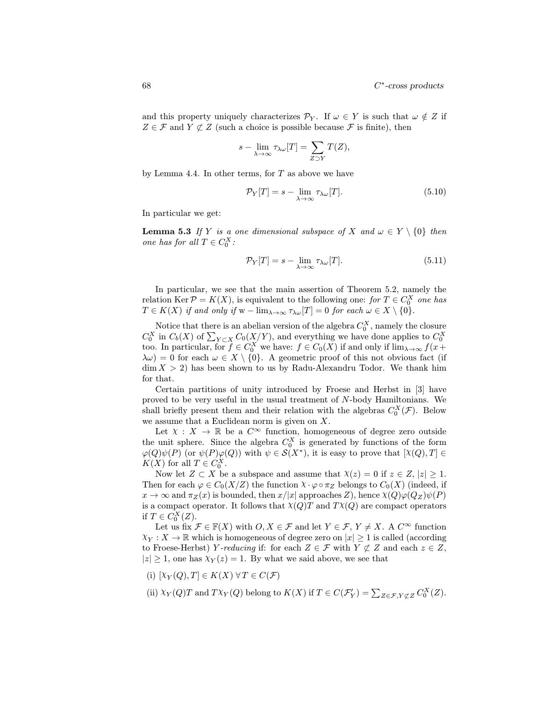and this property uniquely characterizes  $\mathcal{P}_Y$ . If  $\omega \in Y$  is such that  $\omega \notin Z$  if  $Z \in \mathcal{F}$  and  $Y \not\subset Z$  (such a choice is possible because  $\mathcal{F}$  is finite), then

$$
s - \lim_{\lambda \to \infty} \tau_{\lambda \omega}[T] = \sum_{Z \supset Y} T(Z),
$$

by Lemma 4.4. In other terms, for  $T$  as above we have

$$
\mathcal{P}_Y[T] = s - \lim_{\lambda \to \infty} \tau_{\lambda \omega}[T]. \tag{5.10}
$$

In particular we get:

**Lemma 5.3** If Y is a one dimensional subspace of X and  $\omega \in Y \setminus \{0\}$  then one has for all  $T \in C_0^X$ :

$$
\mathcal{P}_Y[T] = s - \lim_{\lambda \to \infty} \tau_{\lambda \omega}[T]. \tag{5.11}
$$

In particular, we see that the main assertion of Theorem 5.2, namely the relation Ker  $P = K(X)$ , is equivalent to the following one: for  $T \in C_0^X$  one has  $T \in K(X)$  if and only if  $w - \lim_{\lambda \to \infty} \tau_{\lambda \omega}[T] = 0$  for each  $\omega \in X \setminus \{0\}.$ 

Notice that there is an abelian version of the algebra  $C_0^X$ , namely the closure  $C_0^X$  in  $C_b(X)$  of  $\sum_{Y \subset X} C_0(X/Y)$ , and everything we have done applies to  $C_0^X$  too. In particular, for  $f \in C_0^X$  we have:  $f \in C_0(X)$  if and only if  $\lim_{\lambda \to \infty} f(x +$  $\lambda \omega$ ) = 0 for each  $\omega \in X \setminus \{0\}$ . A geometric proof of this not obvious fact (if  $\dim X > 2$ ) has been shown to us by Radu-Alexandru Todor. We thank him for that.

Certain partitions of unity introduced by Froese and Herbst in [3] have proved to be very useful in the usual treatment of N-body Hamiltonians. We shall briefly present them and their relation with the algebras  $C_0^X(\mathcal{F})$ . Below we assume that a Euclidean norm is given on X.

Let  $X : X \to \mathbb{R}$  be a  $C^{\infty}$  function, homogeneous of degree zero outside the unit sphere. Since the algebra  $C_0^X$  is generated by functions of the form  $\varphi(Q)\psi(P)$  (or  $\psi(P)\varphi(Q)$ ) with  $\psi \in \mathcal{S}(X^*)$ , it is easy to prove that  $[\chi(Q),T] \in$  $K(X)$  for all  $T \in C_0^X$ .

Now let  $Z \subset X$  be a subspace and assume that  $\chi(z) = 0$  if  $z \in Z$ ,  $|z| \geq 1$ . Then for each  $\varphi \in C_0(X/Z)$  the function  $\chi \cdot \varphi \circ \pi_Z$  belongs to  $C_0(X)$  (indeed, if  $x \to \infty$  and  $\pi_Z(x)$  is bounded, then  $x/|x|$  approaches Z), hence  $\chi(Q)\varphi(Q_Z)\psi(P)$ is a compact operator. It follows that  $\chi(Q)$  and  $T\chi(Q)$  are compact operators if  $T \in C_0^X(Z)$ .

Let us fix  $\mathcal{F} \in \mathbb{F}(X)$  with  $O, X \in \mathcal{F}$  and let  $Y \in \mathcal{F}, Y \neq X$ . A  $C^{\infty}$  function  $\chi_Y : X \to \mathbb{R}$  which is homogeneous of degree zero on  $|x| \geq 1$  is called (according to Froese-Herbst) Y-reducing if: for each  $Z \in \mathcal{F}$  with  $Y \not\subset Z$  and each  $z \in Z$ ,  $|z| \geq 1$ , one has  $\chi_Y(z) = 1$ . By what we said above, we see that

- (i)  $[\chi_Y(Q), T] \in K(X) \,\forall T \in C(\mathcal{F})$
- (ii)  $\chi_Y(Q)T$  and  $T\chi_Y(Q)$  belong to  $K(X)$  if  $T \in C(\mathcal{F}'_Y) = \sum_{Z \in \mathcal{F}, Y \not\subset Z} C_0^X(Z)$ .